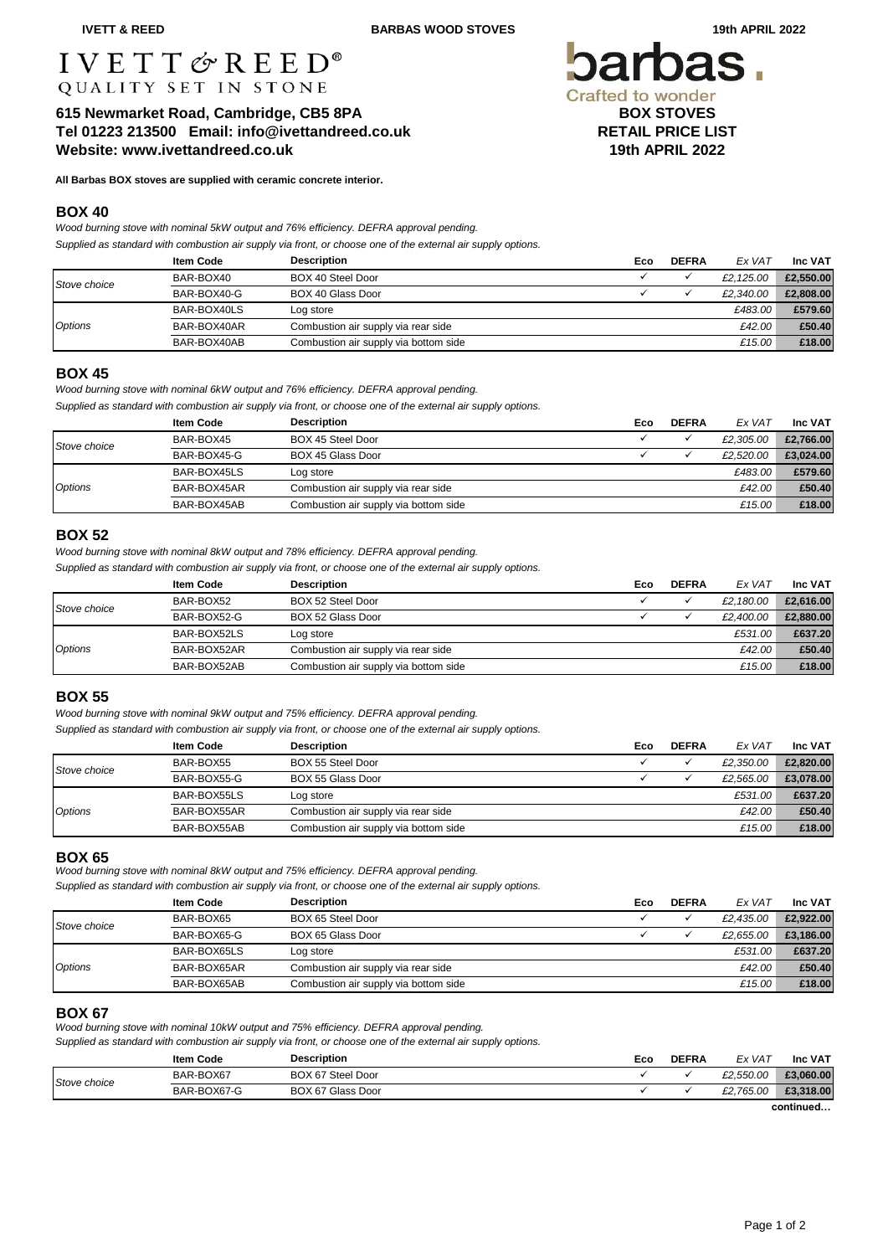**IVETT & REED BARBAS WOOD STOVES 19th APRIL 2022** 

# $I V E T T \n\mathcal{L} R E E D^*$ QUALITY SET IN STONE

**615 Newmarket Road, Cambridge, CB5 8PA BOX STOVES Tel 01223 213500 Email: info@ivettandreed.co.uk RETAIL PRICE LIST Website: www.ivettandreed.co.uk 19th APRIL 2022**

**All Barbas BOX stoves are supplied with ceramic concrete interior.** 

## **BOX 40**

*Wood burning stove with nominal 5kW output and 76% efficiency. DEFRA approval pending.*

*Supplied as standard with combustion air supply via front, or choose one of the external air supply options.*

|              | <b>Item Code</b> | <b>Description</b>                    | Eco | <b>DEFRA</b> | Ex VAT    | Inc VAT   |
|--------------|------------------|---------------------------------------|-----|--------------|-----------|-----------|
| Stove choice | BAR-BOX40        | BOX 40 Steel Door                     |     |              | £2.125.00 | £2.550.00 |
|              | BAR-BOX40-G      | BOX 40 Glass Door                     |     |              | £2.340.00 | £2,808,00 |
| Options      | BAR-BOX40LS      | Log store                             |     |              | £483.00   | £579.60   |
|              | BAR-BOX40AR      | Combustion air supply via rear side   |     |              | £42.00    | £50.40    |
|              | BAR-BOX40AB      | Combustion air supply via bottom side |     |              | £15.00    | £18.00    |

## **BOX 45**

*Wood burning stove with nominal 6kW output and 76% efficiency. DEFRA approval pending.*

*Supplied as standard with combustion air supply via front, or choose one of the external air supply options.*

|                | <b>Item Code</b> | <b>Description</b>                    | Eco | <b>DEFRA</b> | Ex VAT    | <b>Inc VAT</b> |
|----------------|------------------|---------------------------------------|-----|--------------|-----------|----------------|
| Stove choice   | BAR-BOX45        | BOX 45 Steel Door                     |     |              | £2,305.00 | £2.766.00      |
|                | BAR-BOX45-G      | BOX 45 Glass Door                     |     |              | £2.520.00 | £3.024.00      |
| <b>Options</b> | BAR-BOX45LS      | Log store                             |     |              | £483.00   | £579.60        |
|                | BAR-BOX45AR      | Combustion air supply via rear side   |     |              | £42.00    | £50.40         |
|                | BAR-BOX45AB      | Combustion air supply via bottom side |     |              | £15.00    | £18.00         |

# **BOX 52**

*Wood burning stove with nominal 8kW output and 78% efficiency. DEFRA approval pending.*

*Supplied as standard with combustion air supply via front, or choose one of the external air supply options.*

|                | <b>Item Code</b> | <b>Description</b>                    | Eco | <b>DEFRA</b> | Ex VAT    | <b>Inc VAT</b> |
|----------------|------------------|---------------------------------------|-----|--------------|-----------|----------------|
| Stove choice   | BAR-BOX52        | BOX 52 Steel Door                     |     |              | £2.180.00 | £2,616.00      |
|                | BAR-BOX52-G      | BOX 52 Glass Door                     |     |              | £2.400.00 | £2,880,00      |
| <b>Options</b> | BAR-BOX52LS      | Log store                             |     |              | £531.00   | £637.20        |
|                | BAR-BOX52AR      | Combustion air supply via rear side   |     |              | £42.00    | £50.40         |
|                | BAR-BOX52AB      | Combustion air supply via bottom side |     |              | £15.00    | £18,00         |

# **BOX 55**

*Wood burning stove with nominal 9kW output and 75% efficiency. DEFRA approval pending.*

*Supplied as standard with combustion air supply via front, or choose one of the external air supply options.*

|                | <b>Item Code</b> | <b>Description</b>                    | Eco | <b>DEFRA</b> | Ex VAT    | Inc VAT   |
|----------------|------------------|---------------------------------------|-----|--------------|-----------|-----------|
| Stove choice   | BAR-BOX55        | BOX 55 Steel Door                     |     |              | £2.350.00 | £2,820.00 |
|                | BAR-BOX55-G      | BOX 55 Glass Door                     |     |              | £2.565.00 | £3.078.00 |
|                | BAR-BOX55LS      | Log store                             |     |              | £531.00   | £637.20   |
| <b>Options</b> | BAR-BOX55AR      | Combustion air supply via rear side   |     |              | £42.00    | £50.40    |
|                | BAR-BOX55AB      | Combustion air supply via bottom side |     |              | £15.00    | £18.00    |

## **BOX 65**

*Wood burning stove with nominal 8kW output and 75% efficiency. DEFRA approval pending.*

*Supplied as standard with combustion air supply via front, or choose one of the external air supply options.*

|                | <b>Item Code</b> | <b>Description</b>                    | Eco | <b>DEFRA</b> | Ex VAT    | <b>Inc VAT</b> |
|----------------|------------------|---------------------------------------|-----|--------------|-----------|----------------|
| Stove choice   | BAR-BOX65        | BOX 65 Steel Door                     |     |              | £2.435.00 | £2,922.00      |
|                | BAR-BOX65-G      | BOX 65 Glass Door                     |     |              | £2.655.00 | £3,186.00      |
| <b>Options</b> | BAR-BOX65LS      | Log store                             |     |              | £531.00   | £637.20        |
|                | BAR-BOX65AR      | Combustion air supply via rear side   |     |              | £42.00    | £50.40         |
|                | BAR-BOX65AB      | Combustion air supply via bottom side |     |              | £15.00    | £18.00         |

# **BOX 67**

*Wood burning stove with nominal 10kW output and 75% efficiency. DEFRA approval pending.*

*Supplied as standard with combustion air supply via front, or choose one of the external air supply options.*

|              |                  |                    | . |     |              |           |                |
|--------------|------------------|--------------------|---|-----|--------------|-----------|----------------|
|              | <b>Item Code</b> | <b>Description</b> |   | Eco | <b>DEFRA</b> | Ex VAT    | <b>Inc VAT</b> |
| Stove choice | BAR-BOX67        | BOX 67 Steel Door  |   |     |              | £2.550.00 | £3,060,00      |
|              | BAR-BOX67-G      | BOX 67 Glass Door  |   |     |              | £2.765.00 | £3,318,00      |
|              |                  |                    |   |     |              |           |                |

**continued…**

**Crafted to wonder**